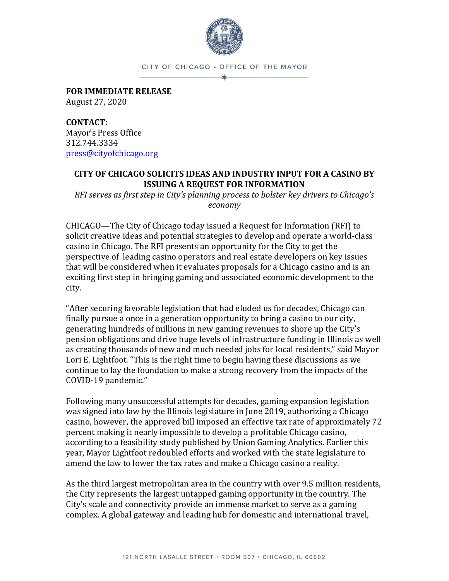

CITY OF CHICAGO · OFFICE OF THE MAYOR  $\star$ 

**FOR IMMEDIATE RELEASE** August 27, 2020

**CONTACT:** Mayor's Press Office 312.744.3334 [press@cityofchicago.org](mailto:press@cityofchicago.org)

## **CITY OF CHICAGO SOLICITS IDEAS AND INDUSTRY INPUT FOR A CASINO BY ISSUING A REQUEST FOR INFORMATION**

*RFI serves as first step in City's planning process to bolster key drivers to Chicago's economy*

CHICAGO—The City of Chicago today issued a Request for Information (RFI) to solicit creative ideas and potential strategies to develop and operate a world-class casino in Chicago. The RFI presents an opportunity for the City to get the perspective of leading casino operators and real estate developers on key issues that will be considered when it evaluates proposals for a Chicago casino and is an exciting first step in bringing gaming and associated economic development to the city.

"After securing favorable legislation that had eluded us for decades, Chicago can finally pursue a once in a generation opportunity to bring a casino to our city, generating hundreds of millions in new gaming revenues to shore up the City's pension obligations and drive huge levels of infrastructure funding in Illinois as well as creating thousands of new and much needed jobs for local residents," said Mayor Lori E. Lightfoot. "This is the right time to begin having these discussions as we continue to lay the foundation to make a strong recovery from the impacts of the COVID-19 pandemic."

Following many unsuccessful attempts for decades, gaming expansion legislation was signed into law by the Illinois legislature in June 2019, authorizing a Chicago casino, however, the approved bill imposed an effective tax rate of approximately 72 percent making it nearly impossible to develop a profitable Chicago casino, according to a feasibility study published by Union Gaming Analytics. Earlier this year, Mayor Lightfoot redoubled efforts and worked with the state legislature to amend the law to lower the tax rates and make a Chicago casino a reality.

As the third largest metropolitan area in the country with over 9.5 million residents, the City represents the largest untapped gaming opportunity in the country. The City's scale and connectivity provide an immense market to serve as a gaming complex. A global gateway and leading hub for domestic and international travel,